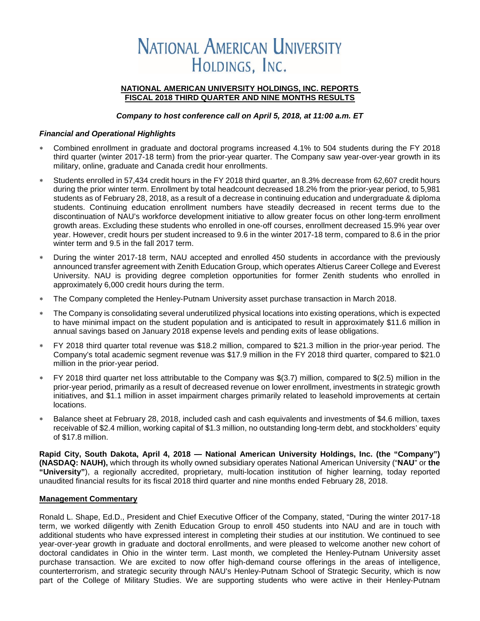# **NATIONAL AMERICAN UNIVERSITY** HOLDINGS, INC.

#### **NATIONAL AMERICAN UNIVERSITY HOLDINGS, INC. REPORTS FISCAL 2018 THIRD QUARTER AND NINE MONTHS RESULTS**

#### *Company to host conference call on April 5, 2018, at 11:00 a.m. ET*

#### *Financial and Operational Highlights*

- Combined enrollment in graduate and doctoral programs increased 4.1% to 504 students during the FY 2018 third quarter (winter 2017-18 term) from the prior-year quarter. The Company saw year-over-year growth in its military, online, graduate and Canada credit hour enrollments.
- Students enrolled in 57,434 credit hours in the FY 2018 third quarter, an 8.3% decrease from 62,607 credit hours during the prior winter term. Enrollment by total headcount decreased 18.2% from the prior-year period, to 5,981 students as of February 28, 2018, as a result of a decrease in continuing education and undergraduate & diploma students. Continuing education enrollment numbers have steadily decreased in recent terms due to the discontinuation of NAU's workforce development initiative to allow greater focus on other long-term enrollment growth areas. Excluding these students who enrolled in one-off courses, enrollment decreased 15.9% year over year. However, credit hours per student increased to 9.6 in the winter 2017-18 term, compared to 8.6 in the prior winter term and 9.5 in the fall 2017 term.
- During the winter 2017-18 term, NAU accepted and enrolled 450 students in accordance with the previously announced transfer agreement with Zenith Education Group, which operates Altierus Career College and Everest University. NAU is providing degree completion opportunities for former Zenith students who enrolled in approximately 6,000 credit hours during the term.
- The Company completed the Henley-Putnam University asset purchase transaction in March 2018.
- The Company is consolidating several underutilized physical locations into existing operations, which is expected to have minimal impact on the student population and is anticipated to result in approximately \$11.6 million in annual savings based on January 2018 expense levels and pending exits of lease obligations.
- FY 2018 third quarter total revenue was \$18.2 million, compared to \$21.3 million in the prior-year period. The Company's total academic segment revenue was \$17.9 million in the FY 2018 third quarter, compared to \$21.0 million in the prior-year period.
- ∗ FY 2018 third quarter net loss attributable to the Company was \$(3.7) million, compared to \$(2.5) million in the prior-year period, primarily as a result of decreased revenue on lower enrollment, investments in strategic growth initiatives, and \$1.1 million in asset impairment charges primarily related to leasehold improvements at certain locations.
- Balance sheet at February 28, 2018, included cash and cash equivalents and investments of \$4.6 million, taxes receivable of \$2.4 million, working capital of \$1.3 million, no outstanding long-term debt, and stockholders' equity of \$17.8 million.

**Rapid City, South Dakota, April 4, 2018 — National American University Holdings, Inc. (the "Company") (NASDAQ: NAUH),** which through its wholly owned subsidiary operates National American University ("**NAU**" or **the "University"**), a regionally accredited, proprietary, multi-location institution of higher learning, today reported unaudited financial results for its fiscal 2018 third quarter and nine months ended February 28, 2018.

#### **Management Commentary**

Ronald L. Shape, Ed.D., President and Chief Executive Officer of the Company, stated, "During the winter 2017-18 term, we worked diligently with Zenith Education Group to enroll 450 students into NAU and are in touch with additional students who have expressed interest in completing their studies at our institution. We continued to see year-over-year growth in graduate and doctoral enrollments, and were pleased to welcome another new cohort of doctoral candidates in Ohio in the winter term. Last month, we completed the Henley-Putnam University asset purchase transaction. We are excited to now offer high-demand course offerings in the areas of intelligence, counterterrorism, and strategic security through NAU's Henley-Putnam School of Strategic Security, which is now part of the College of Military Studies. We are supporting students who were active in their Henley-Putnam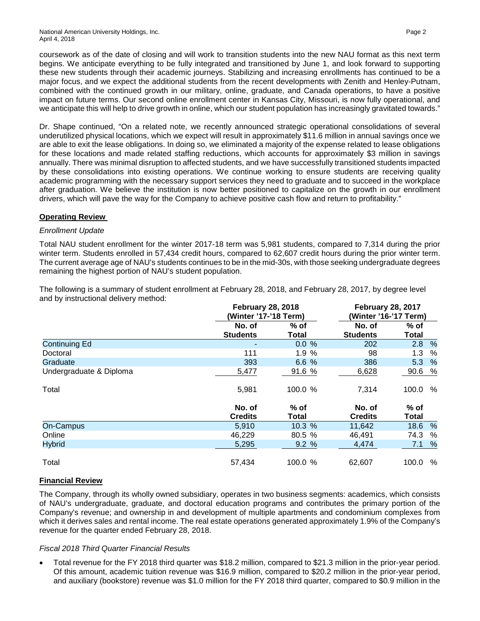coursework as of the date of closing and will work to transition students into the new NAU format as this next term begins. We anticipate everything to be fully integrated and transitioned by June 1, and look forward to supporting these new students through their academic journeys. Stabilizing and increasing enrollments has continued to be a major focus, and we expect the additional students from the recent developments with Zenith and Henley-Putnam, combined with the continued growth in our military, online, graduate, and Canada operations, to have a positive impact on future terms. Our second online enrollment center in Kansas City, Missouri, is now fully operational, and we anticipate this will help to drive growth in online, which our student population has increasingly gravitated towards."

Dr. Shape continued, "On a related note, we recently announced strategic operational consolidations of several underutilized physical locations, which we expect will result in approximately \$11.6 million in annual savings once we are able to exit the lease obligations. In doing so, we eliminated a majority of the expense related to lease obligations for these locations and made related staffing reductions, which accounts for approximately \$3 million in savings annually. There was minimal disruption to affected students, and we have successfully transitioned students impacted by these consolidations into existing operations. We continue working to ensure students are receiving quality academic programming with the necessary support services they need to graduate and to succeed in the workplace after graduation. We believe the institution is now better positioned to capitalize on the growth in our enrollment drivers, which will pave the way for the Company to achieve positive cash flow and return to profitability."

## **Operating Review**

#### *Enrollment Update*

Total NAU student enrollment for the winter 2017-18 term was 5,981 students, compared to 7,314 during the prior winter term. Students enrolled in 57,434 credit hours, compared to 62,607 credit hours during the prior winter term. The current average age of NAU's students continues to be in the mid-30s, with those seeking undergraduate degrees remaining the highest portion of NAU's student population.

|                         |                           | <b>February 28, 2018</b><br>(Winter '17-'18 Term) | <b>February 28, 2017</b><br>(Winter '16-'17 Term) |                        |  |  |  |
|-------------------------|---------------------------|---------------------------------------------------|---------------------------------------------------|------------------------|--|--|--|
|                         | No. of<br><b>Students</b> | $%$ of<br>Total                                   | No. of<br><b>Students</b>                         | $%$ of<br><b>Total</b> |  |  |  |
| <b>Continuing Ed</b>    |                           | 0.0%                                              | 202                                               | %<br>2.8               |  |  |  |
| Doctoral                | 111                       | 1.9%                                              | 98                                                | 1.3<br>%               |  |  |  |
| Graduate                | 393                       | 6.6 %                                             | 386                                               | %<br>5.3               |  |  |  |
| Undergraduate & Diploma | 5,477                     | 91.6 %                                            | 6,628                                             | %<br>90.6              |  |  |  |
| Total                   | 5,981                     | 100.0 %                                           | 7,314                                             | 100.0<br>%             |  |  |  |
|                         | No. of<br><b>Credits</b>  | $%$ of<br>Total                                   | No. of<br><b>Credits</b>                          | $%$ of<br>Total        |  |  |  |
| <b>On-Campus</b>        | 5,910                     | 10.3%                                             | 11,642                                            | 18.6<br>%              |  |  |  |
| Online                  | 46,229                    | 80.5 %                                            | 46,491                                            | 74.3<br>%              |  |  |  |
| <b>Hybrid</b>           | 5,295                     | 9.2%                                              | 4.474                                             | %<br>7.1               |  |  |  |
| Total                   | 57,434                    | 100.0 %                                           | 62.607                                            | 100.0<br>%             |  |  |  |

The following is a summary of student enrollment at February 28, 2018, and February 28, 2017, by degree level and by instructional delivery method:

## **Financial Review**

The Company, through its wholly owned subsidiary, operates in two business segments: academics, which consists of NAU's undergraduate, graduate, and doctoral education programs and contributes the primary portion of the Company's revenue; and ownership in and development of multiple apartments and condominium complexes from which it derives sales and rental income. The real estate operations generated approximately 1.9% of the Company's revenue for the quarter ended February 28, 2018.

## *Fiscal 2018 Third Quarter Financial Results*

• Total revenue for the FY 2018 third quarter was \$18.2 million, compared to \$21.3 million in the prior-year period. Of this amount, academic tuition revenue was \$16.9 million, compared to \$20.2 million in the prior-year period, and auxiliary (bookstore) revenue was \$1.0 million for the FY 2018 third quarter, compared to \$0.9 million in the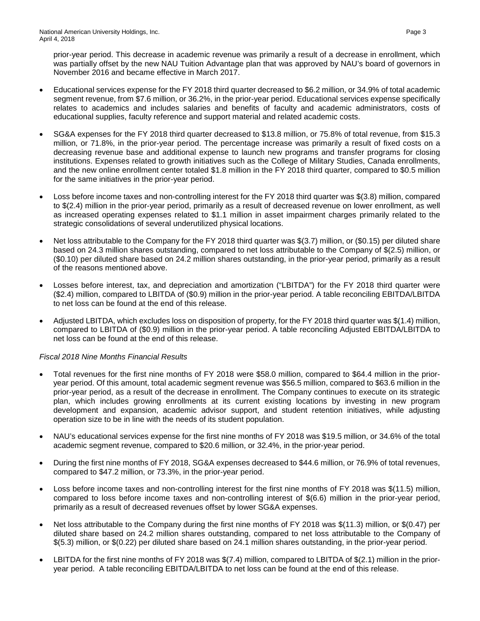prior-year period. This decrease in academic revenue was primarily a result of a decrease in enrollment, which was partially offset by the new NAU Tuition Advantage plan that was approved by NAU's board of governors in November 2016 and became effective in March 2017.

- Educational services expense for the FY 2018 third quarter decreased to \$6.2 million, or 34.9% of total academic segment revenue, from \$7.6 million, or 36.2%, in the prior-year period. Educational services expense specifically relates to academics and includes salaries and benefits of faculty and academic administrators, costs of educational supplies, faculty reference and support material and related academic costs.
- SG&A expenses for the FY 2018 third quarter decreased to \$13.8 million, or 75.8% of total revenue, from \$15.3 million, or 71.8%, in the prior-year period. The percentage increase was primarily a result of fixed costs on a decreasing revenue base and additional expense to launch new programs and transfer programs for closing institutions. Expenses related to growth initiatives such as the College of Military Studies, Canada enrollments, and the new online enrollment center totaled \$1.8 million in the FY 2018 third quarter, compared to \$0.5 million for the same initiatives in the prior-year period.
- Loss before income taxes and non-controlling interest for the FY 2018 third quarter was \$(3.8) million, compared to \$(2.4) million in the prior-year period, primarily as a result of decreased revenue on lower enrollment, as well as increased operating expenses related to \$1.1 million in asset impairment charges primarily related to the strategic consolidations of several underutilized physical locations.
- Net loss attributable to the Company for the FY 2018 third quarter was \$(3.7) million, or (\$0.15) per diluted share based on 24.3 million shares outstanding, compared to net loss attributable to the Company of \$(2.5) million, or (\$0.10) per diluted share based on 24.2 million shares outstanding, in the prior-year period, primarily as a result of the reasons mentioned above.
- Losses before interest, tax, and depreciation and amortization ("LBITDA") for the FY 2018 third quarter were (\$2.4) million, compared to LBITDA of (\$0.9) million in the prior-year period. A table reconciling EBITDA/LBITDA to net loss can be found at the end of this release.
- Adjusted LBITDA, which excludes loss on disposition of property, for the FY 2018 third quarter was \$(1.4) million, compared to LBITDA of (\$0.9) million in the prior-year period. A table reconciling Adjusted EBITDA/LBITDA to net loss can be found at the end of this release.

## *Fiscal 2018 Nine Months Financial Results*

- Total revenues for the first nine months of FY 2018 were \$58.0 million, compared to \$64.4 million in the prioryear period. Of this amount, total academic segment revenue was \$56.5 million, compared to \$63.6 million in the prior-year period, as a result of the decrease in enrollment. The Company continues to execute on its strategic plan, which includes growing enrollments at its current existing locations by investing in new program development and expansion, academic advisor support, and student retention initiatives, while adjusting operation size to be in line with the needs of its student population.
- NAU's educational services expense for the first nine months of FY 2018 was \$19.5 million, or 34.6% of the total academic segment revenue, compared to \$20.6 million, or 32.4%, in the prior-year period.
- During the first nine months of FY 2018, SG&A expenses decreased to \$44.6 million, or 76.9% of total revenues, compared to \$47.2 million, or 73.3%, in the prior-year period.
- Loss before income taxes and non-controlling interest for the first nine months of FY 2018 was \$(11.5) million, compared to loss before income taxes and non-controlling interest of \$(6.6) million in the prior-year period, primarily as a result of decreased revenues offset by lower SG&A expenses.
- Net loss attributable to the Company during the first nine months of FY 2018 was \$(11.3) million, or \$(0.47) per diluted share based on 24.2 million shares outstanding, compared to net loss attributable to the Company of \$(5.3) million, or \$(0.22) per diluted share based on 24.1 million shares outstanding, in the prior-year period.
- LBITDA for the first nine months of FY 2018 was  $$(7.4)$  million, compared to LBITDA of  $$(2.1)$  million in the prioryear period. A table reconciling EBITDA/LBITDA to net loss can be found at the end of this release.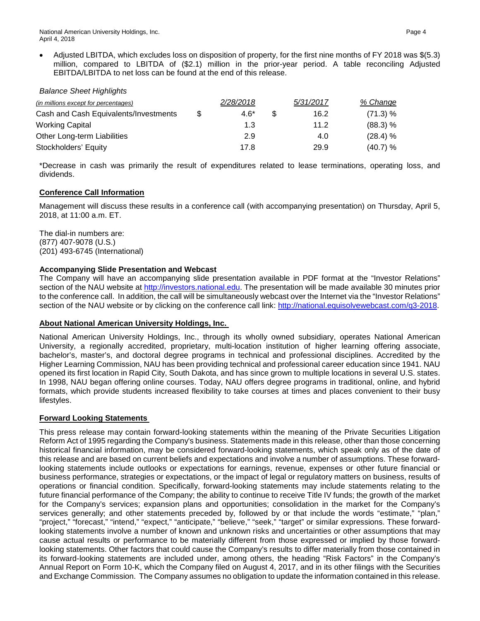• Adjusted LBITDA, which excludes loss on disposition of property, for the first nine months of FY 2018 was \$(5.3) million, compared to LBITDA of (\$2.1) million in the prior-year period. A table reconciling Adjusted EBITDA/LBITDA to net loss can be found at the end of this release.

#### *Balance Sheet Highlights*

| (in millions except for percentages)  |     | 2/28/2018 | 5/31/2017 | % Change |
|---------------------------------------|-----|-----------|-----------|----------|
| Cash and Cash Equivalents/Investments | \$. | $4.6*$    | 16.2      | (71.3) % |
| <b>Working Capital</b>                |     | 1.3       | 11.2      | (88.3) % |
| Other Long-term Liabilities           |     | 2.9       | 4.0       | (28.4) % |
| Stockholders' Equity                  |     | 17.8      | 29.9      | (40.7) % |

\*Decrease in cash was primarily the result of expenditures related to lease terminations, operating loss, and dividends.

## **Conference Call Information**

Management will discuss these results in a conference call (with accompanying presentation) on Thursday, April 5, 2018, at 11:00 a.m. ET.

The dial-in numbers are: (877) 407-9078 (U.S.) (201) 493-6745 (International)

## **Accompanying Slide Presentation and Webcast**

The Company will have an accompanying slide presentation available in PDF format at the "Investor Relations" section of the NAU website at [http://investors.national.edu.](http://investors.national.edu/) The presentation will be made available 30 minutes prior to the conference call. In addition, the call will be simultaneously webcast over the Internet via the "Investor Relations" section of the NAU website or by clicking on the conference call link: [http://national.equisolvewebcast.com/q3-2018.](http://national.equisolvewebcast.com/q3-2018)

#### **About National American University Holdings, Inc.**

National American University Holdings, Inc., through its wholly owned subsidiary, operates National American University, a regionally accredited, proprietary, multi-location institution of higher learning offering associate, bachelor's, master's, and doctoral degree programs in technical and professional disciplines. Accredited by the Higher Learning Commission, NAU has been providing technical and professional career education since 1941. NAU opened its first location in Rapid City, South Dakota, and has since grown to multiple locations in several U.S. states. In 1998, NAU began offering online courses. Today, NAU offers degree programs in traditional, online, and hybrid formats, which provide students increased flexibility to take courses at times and places convenient to their busy lifestyles.

#### **Forward Looking Statements**

This press release may contain forward-looking statements within the meaning of the Private Securities Litigation Reform Act of 1995 regarding the Company's business. Statements made in this release, other than those concerning historical financial information, may be considered forward-looking statements, which speak only as of the date of this release and are based on current beliefs and expectations and involve a number of assumptions. These forwardlooking statements include outlooks or expectations for earnings, revenue, expenses or other future financial or business performance, strategies or expectations, or the impact of legal or regulatory matters on business, results of operations or financial condition. Specifically, forward-looking statements may include statements relating to the future financial performance of the Company; the ability to continue to receive Title IV funds; the growth of the market for the Company's services; expansion plans and opportunities; consolidation in the market for the Company's services generally; and other statements preceded by, followed by or that include the words "estimate," "plan," "project," "forecast," "intend," "expect," "anticipate," "believe," "seek," "target" or similar expressions. These forwardlooking statements involve a number of known and unknown risks and uncertainties or other assumptions that may cause actual results or performance to be materially different from those expressed or implied by those forwardlooking statements. Other factors that could cause the Company's results to differ materially from those contained in its forward-looking statements are included under, among others, the heading "Risk Factors" in the Company's Annual Report on Form 10-K, which the Company filed on August 4, 2017, and in its other filings with the Securities and Exchange Commission. The Company assumes no obligation to update the information contained in this release.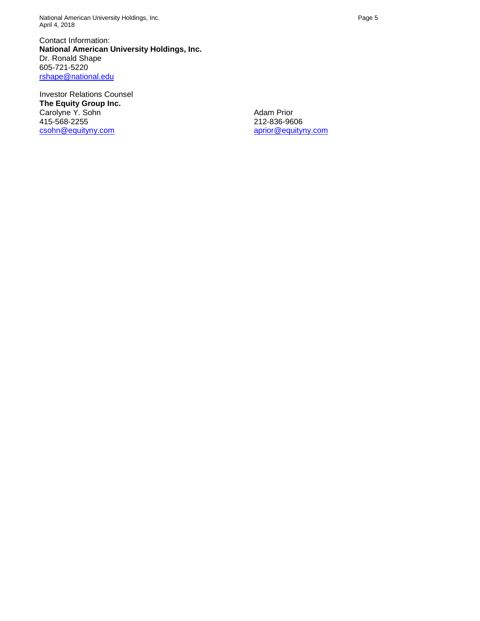National American University Holdings, Inc. **Page 5** and the state of the state of the state of the Page 5 April 4, 2018

Contact Information: **National American University Holdings, Inc.** Dr. Ronald Shape 605-721-5220 [rshape@national.edu](mailto:rshape@national.edu) 

Investor Relations Counsel **The Equity Group Inc.** Carolyne Y. Sohn 415-568-2255 [csohn@equityny.com](mailto:csohn@equityny.com)

Adam Prior 212-836-9606 [aprior@equityny.com](mailto:aprior@equityny.com)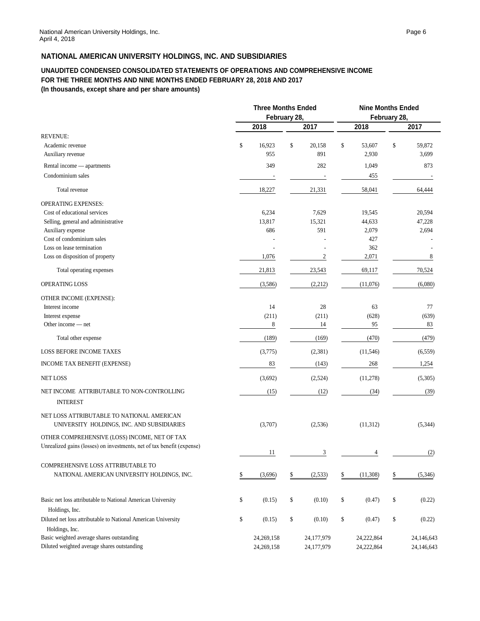## **NATIONAL AMERICAN UNIVERSITY HOLDINGS, INC. AND SUBSIDIARIES**

#### **UNAUDITED CONDENSED CONSOLIDATED STATEMENTS OF OPERATIONS AND COMPREHENSIVE INCOME FOR THE THREE MONTHS AND NINE MONTHS ENDED FEBRUARY 28, 2018 AND 2017 (In thousands, except share and per share amounts)**

|                                                                        | <b>Three Months Ended</b> |              |    | <b>Nine Months Ended</b><br>February 28, |    |            |    |            |
|------------------------------------------------------------------------|---------------------------|--------------|----|------------------------------------------|----|------------|----|------------|
|                                                                        | February 28,              |              |    |                                          |    |            |    |            |
|                                                                        |                           | 2018         |    | 2017                                     |    | 2018       |    | 2017       |
| <b>REVENUE:</b>                                                        |                           |              |    |                                          |    |            |    |            |
| Academic revenue                                                       | \$                        | 16,923       | \$ | 20,158                                   | \$ | 53,607     | \$ | 59,872     |
| Auxiliary revenue                                                      |                           | 955          |    | 891                                      |    | 2,930      |    | 3,699      |
| Rental income — apartments                                             |                           | 349          |    | 282                                      |    | 1,049      |    | 873        |
| Condominium sales                                                      |                           |              |    |                                          |    | 455        |    |            |
| Total revenue                                                          |                           | 18,227       |    | 21,331                                   |    | 58,041     |    | 64,444     |
| <b>OPERATING EXPENSES:</b>                                             |                           |              |    |                                          |    |            |    |            |
| Cost of educational services                                           |                           | 6,234        |    | 7,629                                    |    | 19,545     |    | 20,594     |
| Selling, general and administrative                                    |                           | 13,817       |    | 15,321                                   |    | 44,633     |    | 47,228     |
| Auxiliary expense                                                      |                           | 686          |    | 591                                      |    | 2,079      |    | 2,694      |
| Cost of condominium sales                                              |                           |              |    |                                          |    | 427        |    |            |
| Loss on lease termination                                              |                           |              |    |                                          |    | 362        |    |            |
| Loss on disposition of property                                        |                           | 1,076        |    | 2                                        |    | 2,071      |    | 8          |
| Total operating expenses                                               |                           | 21,813       |    | 23,543                                   |    | 69,117     |    | 70,524     |
| OPERATING LOSS                                                         |                           | (3,586)      |    | (2,212)                                  |    | (11,076)   |    | (6,080)    |
| OTHER INCOME (EXPENSE):                                                |                           |              |    |                                          |    |            |    |            |
| Interest income                                                        |                           | 14           |    | 28                                       |    | 63         |    | 77         |
| Interest expense                                                       |                           | (211)        |    | (211)                                    |    | (628)      |    | (639)      |
| Other income — net                                                     |                           | 8            |    | 14                                       |    | 95         |    | 83         |
| Total other expense                                                    |                           | (189)        |    | (169)                                    |    | (470)      |    | (479)      |
| LOSS BEFORE INCOME TAXES                                               |                           | (3,775)      |    | (2, 381)                                 |    | (11, 546)  |    | (6, 559)   |
| INCOME TAX BENEFIT (EXPENSE)                                           |                           | 83           |    | (143)                                    |    | 268        |    | 1,254      |
| <b>NET LOSS</b>                                                        |                           | (3,692)      |    | (2,524)                                  |    | (11,278)   |    | (5,305)    |
| NET INCOME ATTRIBUTABLE TO NON-CONTROLLING                             |                           | (15)         |    | (12)                                     |    | (34)       |    | (39)       |
| <b>INTEREST</b>                                                        |                           |              |    |                                          |    |            |    |            |
| NET LOSS ATTRIBUTABLE TO NATIONAL AMERICAN                             |                           |              |    |                                          |    |            |    |            |
| UNIVERSITY HOLDINGS, INC. AND SUBSIDIARIES                             |                           | (3,707)      |    | (2,536)                                  |    | (11, 312)  |    | (5, 344)   |
| OTHER COMPREHENSIVE (LOSS) INCOME, NET OF TAX                          |                           |              |    |                                          |    |            |    |            |
| Unrealized gains (losses) on investments, net of tax benefit (expense) |                           | 11           |    | 3                                        |    | 4          |    | (2)        |
| COMPREHENSIVE LOSS ATTRIBUTABLE TO                                     |                           |              |    |                                          |    |            |    |            |
| NATIONAL AMERICAN UNIVERSITY HOLDINGS, INC.                            | \$                        | (3,696)      | \$ | (2, 533)                                 | \$ | (11,308)   | \$ | (5,346)    |
|                                                                        |                           |              |    |                                          |    |            |    |            |
| Basic net loss attributable to National American University            | \$                        | (0.15)       | \$ | (0.10)                                   | \$ | (0.47)     | \$ | (0.22)     |
| Holdings, Inc.                                                         |                           |              |    |                                          |    |            |    |            |
| Diluted net loss attributable to National American University          | \$                        | (0.15)       | \$ | (0.10)                                   | \$ | (0.47)     | \$ | (0.22)     |
| Holdings, Inc.                                                         |                           |              |    |                                          |    |            |    |            |
| Basic weighted average shares outstanding                              |                           | 24,269,158   |    | 24,177,979                               |    | 24,222,864 |    | 24,146,643 |
| Diluted weighted average shares outstanding                            |                           | 24, 269, 158 |    | 24,177,979                               |    | 24,222,864 |    | 24,146,643 |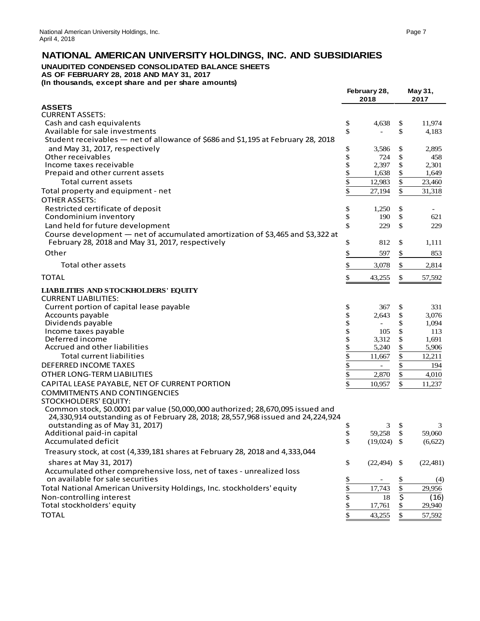# **NATIONAL AMERICAN UNIVERSITY HOLDINGS, INC. AND SUBSIDIARIES**

## **UNAUDITED CONDENSED CONSOLIDATED BALANCE SHEETS**

**AS OF FEBRUARY 28, 2018 AND MAY 31, 2017 (In thousands, except share and per share amounts)**

|                                                                                  |                     | 2018                     |          | 2017   |
|----------------------------------------------------------------------------------|---------------------|--------------------------|----------|--------|
| <b>ASSETS</b>                                                                    |                     |                          |          |        |
| <b>CURRENT ASSETS:</b>                                                           |                     |                          |          |        |
| Cash and cash equivalents                                                        | \$                  | 4,638                    | \$       | 11,974 |
| Available for sale investments                                                   | \$                  |                          | \$       | 4,183  |
| Student receivables - net of allowance of \$686 and \$1,195 at February 28, 2018 |                     |                          |          |        |
| and May 31, 2017, respectively                                                   | \$                  | 3,586                    | \$       | 2,895  |
| Other receivables                                                                | \$                  | 724                      | \$       | 458    |
| Income taxes receivable                                                          | \$                  | 2,397                    | \$       | 2,301  |
| Prepaid and other current assets                                                 | \$                  | 1,638                    | \$       | 1,649  |
| <b>Total current assets</b>                                                      | \$                  | 12,983                   | \$       | 23,460 |
| Total property and equipment - net                                               | \$                  | 27,194                   | \$       | 31,318 |
| <b>OTHER ASSETS:</b>                                                             |                     |                          |          |        |
| Restricted certificate of deposit                                                | \$                  | 1,250                    | \$       |        |
| Condominium inventory                                                            | \$                  | 190                      | \$       | 621    |
| Land held for future development                                                 | \$                  | 229                      | \$       | 229    |
| Course development - net of accumulated amortization of \$3,465 and \$3,322 at   |                     |                          |          |        |
| February 28, 2018 and May 31, 2017, respectively                                 | \$                  | 812                      | \$       | 1,111  |
| Other                                                                            | \$                  | 597                      | \$       | 853    |
| Total other assets                                                               | \$                  | 3,078                    | \$       | 2,814  |
| <b>TOTAL</b>                                                                     | \$                  | 43,255                   | \$       | 57,592 |
| <b>LIABILITIES AND STOCKHOLDERS' EQUITY</b>                                      |                     |                          |          |        |
| <b>CURRENT LIABILITIES:</b>                                                      |                     |                          |          |        |
| Current portion of capital lease payable                                         | \$                  | 367                      | \$       | 331    |
| Accounts payable                                                                 | \$                  | 2,643                    | \$       | 3,076  |
| Dividends payable                                                                | \$                  |                          | \$       | 1,094  |
| Income taxes payable<br>Deferred income                                          | \$                  | 105<br>3,312             | \$<br>\$ | 113    |
| Accrued and other liabilities                                                    | \$                  |                          |          | 1,691  |
| <b>Total current liabilities</b>                                                 | $\frac{1}{2}$<br>\$ | 5,240                    | \$<br>\$ | 5,906  |
|                                                                                  |                     | 11,667                   |          | 12,211 |
| <b>DEFERRED INCOME TAXES</b>                                                     | \$                  | $\overline{\phantom{a}}$ | \$       | 194    |

OTHER LONG-TERM LIABILITIES \$ 2,870 \$ 4,010 CAPITAL LEASE PAYABLE, NET OF CURRENT PORTION \$ 10,957 \$ 11,237

COMMITMENTS AND CONTINGENCIES

STOCKHOLDERS' EQUITY:

 Common stock, \$0.0001 par value (50,000,000 authorized; 28,670,095 issued and 24,330,914 outstanding as of February 28, 2018; 28,557,968 issued and 24,224,924 outstanding as of May 31, 2017)<br>
and the state of May 31, 2017)<br>
and the state of the state of the state of the state of the state of the state of the state of the state of the state of the state of the state of the state Additional paid-in capital and the set of the set of the set of the set of the set of the set of the set of the set of the set of the set of the set of the set of the set of the set of the set of the set of the set of the Accumulated deficit

|                                                                              |          | , <i>,</i> |
|------------------------------------------------------------------------------|----------|------------|
| Treasury stock, at cost (4,339,181 shares at February 28, 2018 and 4,333,044 |          |            |
| shares at May 31, 2017)                                                      | (22.494) | (22, 481)  |
| Accumulated other comprehensive loss, net of taxes - unrealized loss         |          |            |
| on available for sale securities                                             |          | (4)        |
| Total National American University Holdings, Inc. stockholders' equity       | 17.743   | 29,956     |
| Non-controlling interest                                                     | 18       | (16)       |
| Total stockholders' equity                                                   | 17,761   | 29,940     |
| ΤΟΤΑL                                                                        | 43.255   | 57,592     |
|                                                                              |          |            |

**February 28, May 31,**